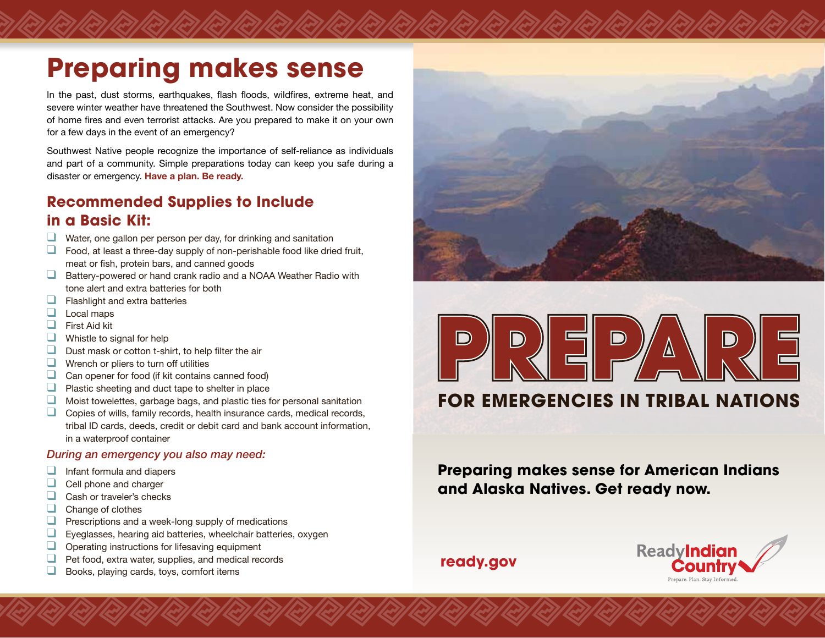# **Preparing makes sense**

In the past, dust storms, earthquakes, flash floods, wildfires, extreme heat, and severe winter weather have threatened the Southwest. Now consider the possibility of home fires and even terrorist attacks. Are you prepared to make it on your own for a few days in the event of an emergency?

Southwest Native people recognize the importance of self-reliance as individuals and part of a community. Simple preparations today can keep you safe during a disaster or emergency. **Have a plan. Be ready.**

### **Recommended Supplies to Include in a Basic Kit:**

- □ Water, one gallon per person per day, for drinking and sanitation
- $\Box$  Food, at least a three-day supply of non-perishable food like dried fruit, meat or fish, protein bars, and canned goods
- □ Battery-powered or hand crank radio and a NOAA Weather Radio with tone alert and extra batteries for both
- ❑ Flashlight and extra batteries
- ❑ Local maps
- ❑ First Aid kit
- ❑ Whistle to signal for help
- $\Box$  Dust mask or cotton t-shirt, to help filter the air
- $\Box$  Wrench or pliers to turn off utilities
- ❑ Can opener for food (if kit contains canned food)
- ❑ Plastic sheeting and duct tape to shelter in place
- ❑ Moist towelettes, garbage bags, and plastic ties for personal sanitation
- ❑ Copies of wills, family records, health insurance cards, medical records, tribal ID cards, deeds, credit or debit card and bank account information, in a waterproof container

### *During an emergency you also may need:*

- ❑ Infant formula and diapers
- ❑ Cell phone and charger
- ❑ Cash or traveler's checks
- ❑ Change of clothes
- $\Box$  Prescriptions and a week-long supply of medications
- ❑ Eyeglasses, hearing aid batteries, wheelchair batteries, oxygen
- ❑ Operating instructions for lifesaving equipment
- ❑ Pet food, extra water, supplies, and medical records
- ❑ Books, playing cards, toys, comfort items



## **for Emergencies in Tribal Nations**

### **Preparing makes sense for American Indians and Alaska Natives. Get ready now.**

**ready.gov**